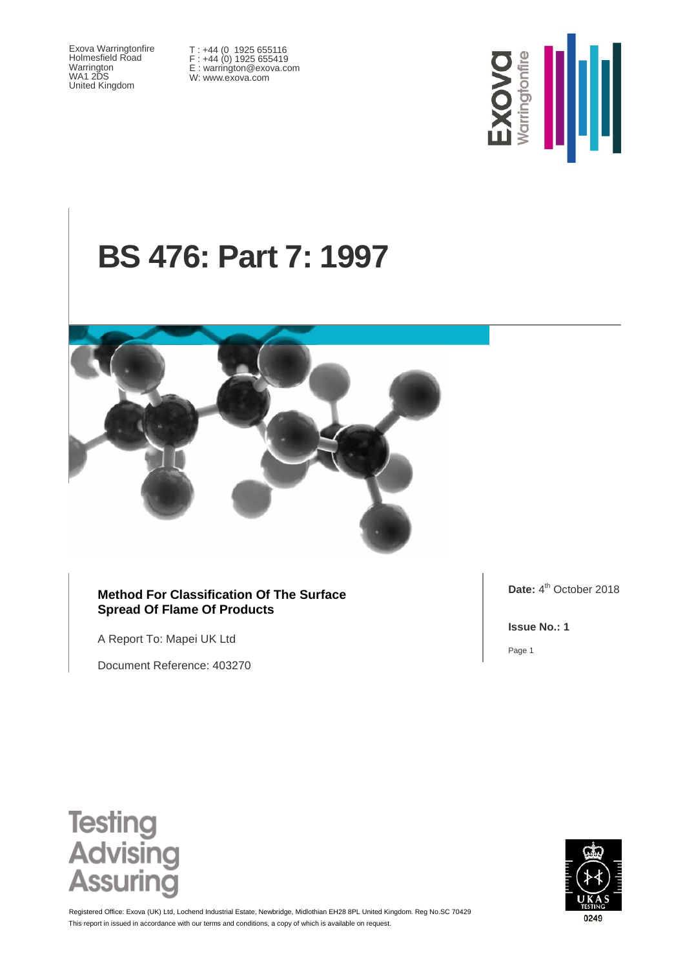Exova Warringtonfire Holmesfield Road Warrington WA1 2DS United Kingdom

T : +44 (0 1925 655116 F : +44 (0) 1925 655419 E : warrington@exova.com W: www.exova.com



# **BS 476: Part 7: 1997**



#### **Method For Classification Of The Surface Spread Of Flame Of Products**

A Report To: Mapei UK Ltd

Document Reference: 403270

Date: 4<sup>th</sup> October 2018

**Issue No.: 1**

Page 1





This report in issued in accordance with our terms and conditions, a copy of which is available on request. Registered Office: Exova (UK) Ltd, Lochend Industrial Estate, Newbridge, Midlothian EH28 8PL United Kingdom. Reg No.SC 70429

0249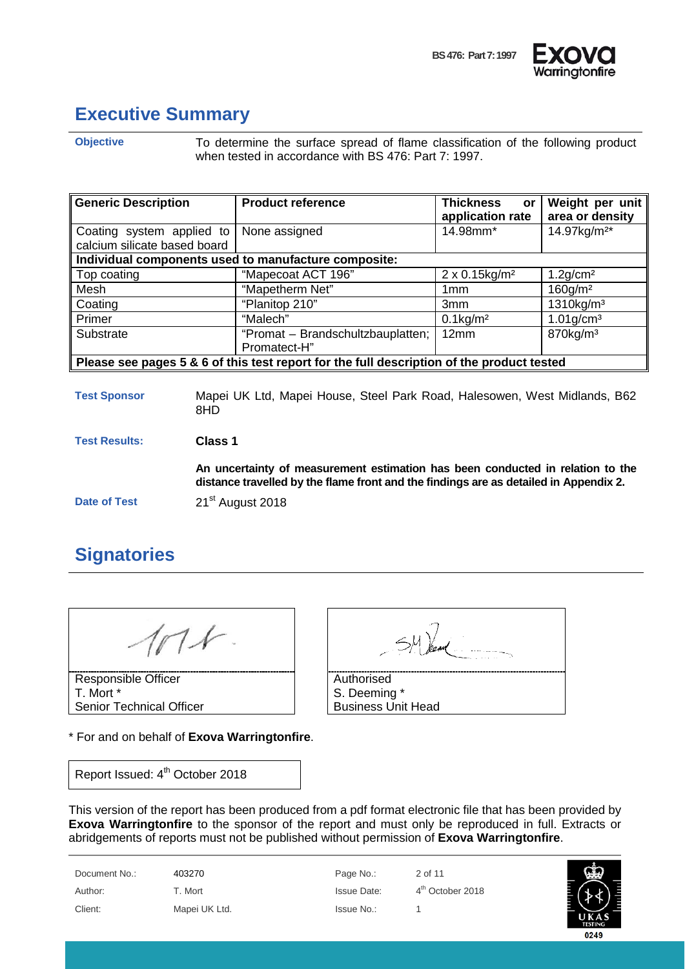



# <span id="page-1-0"></span>**Executive Summary**

**Objective** To determine the surface spread of flame classification of the following product when tested in accordance with BS 476: Part 7: 1997.

| <b>Generic Description</b>                                                                | <b>Product reference</b>                             | <b>Thickness</b><br>or<br>application rate | Weight per unit<br>area or density |  |  |
|-------------------------------------------------------------------------------------------|------------------------------------------------------|--------------------------------------------|------------------------------------|--|--|
| Coating system applied to<br>None assigned<br>calcium silicate based board                |                                                      | 14.98mm*                                   | 14.97kg/m <sup>2*</sup>            |  |  |
|                                                                                           | Individual components used to manufacture composite: |                                            |                                    |  |  |
| Top coating                                                                               | "Mapecoat ACT 196"                                   | $2 \times 0.15$ kg/m <sup>2</sup>          | $1.2$ g/cm <sup>2</sup>            |  |  |
| Mesh                                                                                      | "Mapetherm Net"                                      | 1 <sub>mm</sub>                            | $160$ g/m <sup>2</sup>             |  |  |
| Coating                                                                                   | "Planitop 210"                                       | 3mm                                        | $1310$ kg/m <sup>3</sup>           |  |  |
| Primer                                                                                    | "Malech"                                             | $0.1$ kg/m <sup>2</sup>                    | $1.01$ g/cm <sup>3</sup>           |  |  |
| Substrate                                                                                 | "Promat - Brandschultzbauplatten;                    | 12mm                                       | $870$ kg/m <sup>3</sup>            |  |  |
|                                                                                           | Promatect-H"                                         |                                            |                                    |  |  |
| Please see pages 5 & 6 of this test report for the full description of the product tested |                                                      |                                            |                                    |  |  |

**Test Sponsor** Mapei UK Ltd, Mapei House, Steel Park Road, Halesowen, West Midlands, B62 8HD

**Test Results: Class 1**

**An uncertainty of measurement estimation has been conducted in relation to the distance travelled by the flame front and the findings are as detailed in Appendix 2.**

**Date of Test** 21<sup>st</sup> August 2018

#### <span id="page-1-1"></span>**Signatories**

 $11$ 

Responsible Officer T. Mort \* Senior Technical Officer

\* For and on behalf of **Exova Warringtonfire**.

Report Issued: 4<sup>th</sup> October 2018

| Authorised                |
|---------------------------|
| S. Deeming *              |
| <b>Business Unit Head</b> |

This version of the report has been produced from a pdf format electronic file that has been provided by **Exova Warringtonfire** to the sponsor of the report and must only be reproduced in full. Extracts or abridgements of reports must not be published without permission of **Exova Warringtonfire**.

| Document No.: | 403270        | Page No.:   | 2 of 11                      |
|---------------|---------------|-------------|------------------------------|
| Author:       | T. Mort       | Issue Date: | 4 <sup>th</sup> October 2018 |
| Client:       | Mapei UK Ltd. | Issue No.:  |                              |

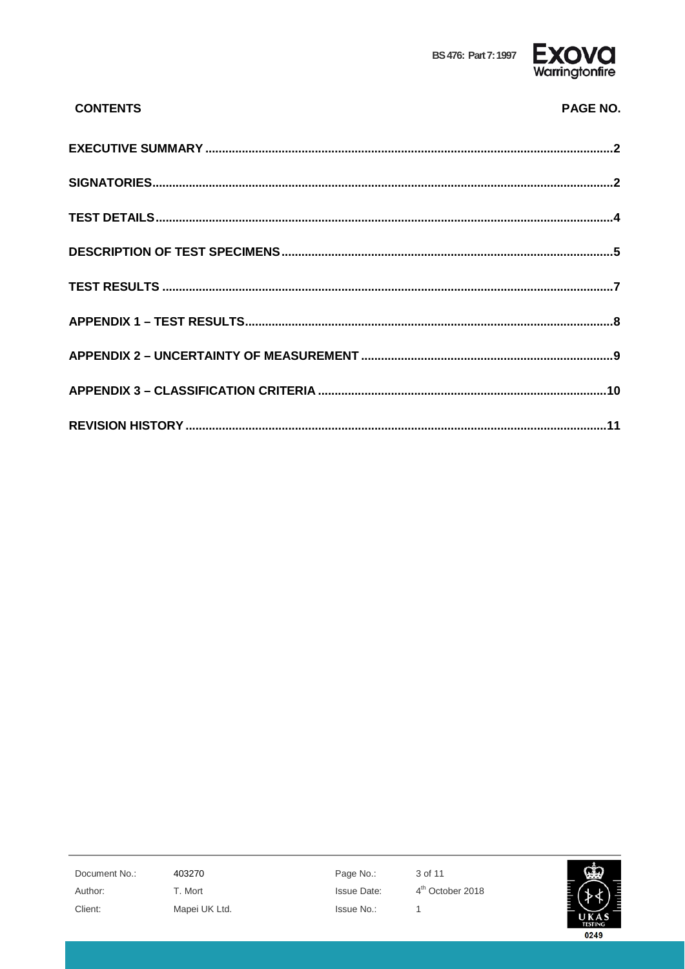

| <b>CONTENTS</b> | <b>PAGE NO.</b> |
|-----------------|-----------------|
|                 |                 |
|                 |                 |
|                 |                 |
|                 |                 |
|                 |                 |
|                 |                 |
|                 |                 |
|                 |                 |
|                 |                 |

Document No.: Author: Client:

403270 T. Mort Mapei UK Ltd. Page No.: **Issue Date:** Issue No.:

3 of 11 4<sup>th</sup> October 2018  $\mathbf 1$ 

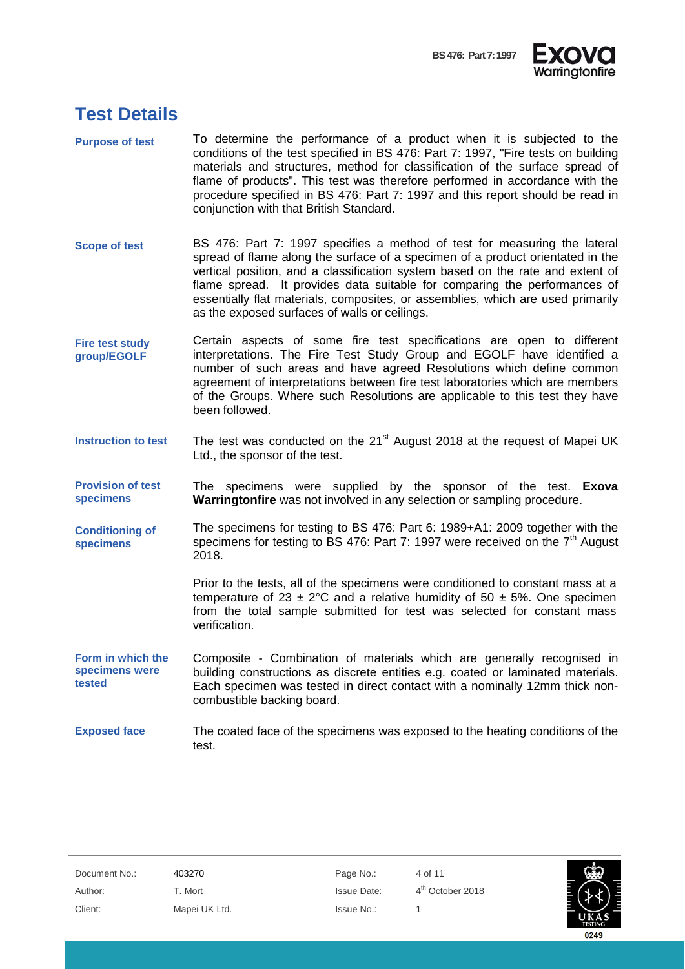



# <span id="page-3-0"></span>**Test Details**

| <b>Purpose of test</b>                        | To determine the performance of a product when it is subjected to the                                                                                                                                                                                                                                                                                                                                                                                          |
|-----------------------------------------------|----------------------------------------------------------------------------------------------------------------------------------------------------------------------------------------------------------------------------------------------------------------------------------------------------------------------------------------------------------------------------------------------------------------------------------------------------------------|
|                                               | conditions of the test specified in BS 476: Part 7: 1997, "Fire tests on building<br>materials and structures, method for classification of the surface spread of<br>flame of products". This test was therefore performed in accordance with the<br>procedure specified in BS 476: Part 7: 1997 and this report should be read in<br>conjunction with that British Standard.                                                                                  |
| <b>Scope of test</b>                          | BS 476: Part 7: 1997 specifies a method of test for measuring the lateral<br>spread of flame along the surface of a specimen of a product orientated in the<br>vertical position, and a classification system based on the rate and extent of<br>flame spread. It provides data suitable for comparing the performances of<br>essentially flat materials, composites, or assemblies, which are used primarily<br>as the exposed surfaces of walls or ceilings. |
| <b>Fire test study</b><br>group/EGOLF         | Certain aspects of some fire test specifications are open to different<br>interpretations. The Fire Test Study Group and EGOLF have identified a<br>number of such areas and have agreed Resolutions which define common<br>agreement of interpretations between fire test laboratories which are members<br>of the Groups. Where such Resolutions are applicable to this test they have<br>been followed.                                                     |
| <b>Instruction to test</b>                    | The test was conducted on the 21 <sup>st</sup> August 2018 at the request of Mapei UK<br>Ltd., the sponsor of the test.                                                                                                                                                                                                                                                                                                                                        |
| <b>Provision of test</b><br>specimens         | The specimens were supplied by the sponsor of the test. <b>Exova</b><br>Warringtonfire was not involved in any selection or sampling procedure.                                                                                                                                                                                                                                                                                                                |
| <b>Conditioning of</b><br>specimens           | The specimens for testing to BS 476: Part 6: 1989+A1: 2009 together with the<br>specimens for testing to BS 476: Part 7: 1997 were received on the $7th$ August<br>2018.                                                                                                                                                                                                                                                                                       |
|                                               | Prior to the tests, all of the specimens were conditioned to constant mass at a<br>temperature of 23 $\pm$ 2°C and a relative humidity of 50 $\pm$ 5%. One specimen<br>from the total sample submitted for test was selected for constant mass<br>verification.                                                                                                                                                                                                |
| Form in which the<br>specimens were<br>tested | Composite - Combination of materials which are generally recognised in<br>building constructions as discrete entities e.g. coated or laminated materials.<br>Each specimen was tested in direct contact with a nominally 12mm thick non-<br>combustible backing board.                                                                                                                                                                                         |
| <b>Exposed face</b>                           | The coated face of the specimens was exposed to the heating conditions of the<br>test.                                                                                                                                                                                                                                                                                                                                                                         |

| Document No.: | 403270        | Page No.:          | 4 of 11                      |                        |
|---------------|---------------|--------------------|------------------------------|------------------------|
| Author:       | T. Mort       | <b>Issue Date:</b> | 4 <sup>th</sup> October 2018 |                        |
| Client:       | Mapei UK Ltd. | Issue No.:         |                              | UKAS<br><b>TESTING</b> |
|               |               |                    |                              | 0249                   |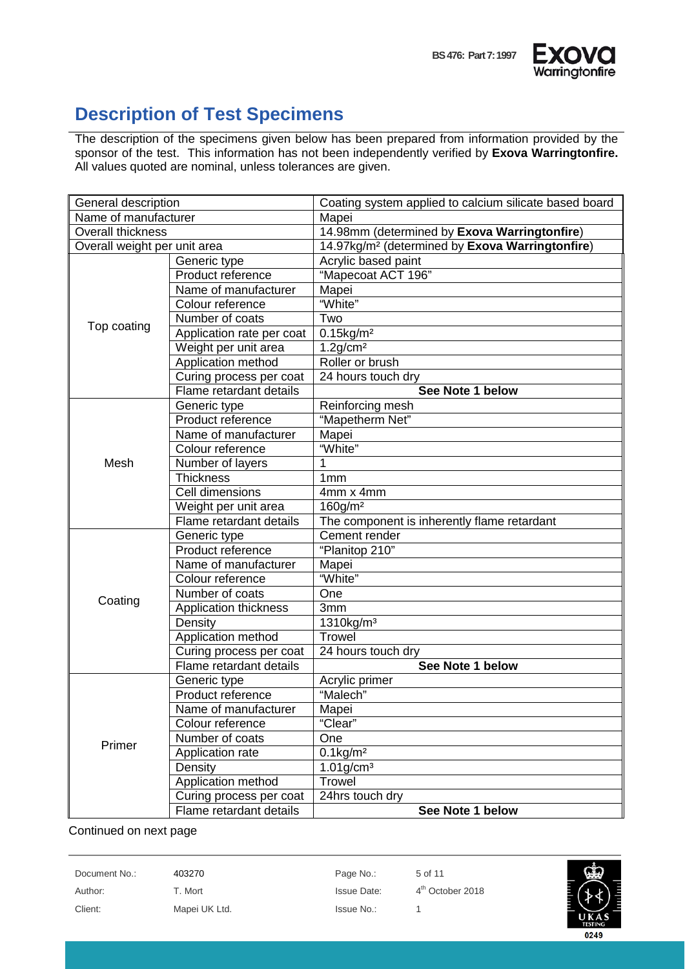

### <span id="page-4-0"></span>**Description of Test Specimens**

The description of the specimens given below has been prepared from information provided by the sponsor of the test. This information has not been independently verified by **Exova Warringtonfire.**  All values quoted are nominal, unless tolerances are given.

| General description          |                           | Coating system applied to calcium silicate based board      |  |  |
|------------------------------|---------------------------|-------------------------------------------------------------|--|--|
| Name of manufacturer         |                           | Mapei                                                       |  |  |
| <b>Overall thickness</b>     |                           | 14.98mm (determined by Exova Warringtonfire)                |  |  |
| Overall weight per unit area |                           | 14.97kg/m <sup>2</sup> (determined by Exova Warringtonfire) |  |  |
|                              | Generic type              | Acrylic based paint                                         |  |  |
|                              | Product reference         | "Mapecoat ACT 196"                                          |  |  |
|                              | Name of manufacturer      | Mapei                                                       |  |  |
|                              | Colour reference          | "White"                                                     |  |  |
|                              | Number of coats           | Two                                                         |  |  |
| Top coating                  | Application rate per coat | $0.15$ kg/m <sup>2</sup>                                    |  |  |
|                              | Weight per unit area      | $1.2$ g/cm <sup>2</sup>                                     |  |  |
|                              | Application method        | Roller or brush                                             |  |  |
|                              | Curing process per coat   | 24 hours touch dry                                          |  |  |
|                              | Flame retardant details   | See Note 1 below                                            |  |  |
|                              | Generic type              | Reinforcing mesh                                            |  |  |
|                              | Product reference         | "Mapetherm Net"                                             |  |  |
|                              | Name of manufacturer      | Mapei                                                       |  |  |
|                              | Colour reference          | "White"                                                     |  |  |
| Mesh                         | Number of layers          | 1                                                           |  |  |
|                              | <b>Thickness</b>          | 1 <sub>mm</sub>                                             |  |  |
|                              | Cell dimensions           | 4mm x 4mm                                                   |  |  |
|                              | Weight per unit area      | $160$ g/m <sup>2</sup>                                      |  |  |
|                              | Flame retardant details   | The component is inherently flame retardant                 |  |  |
|                              | Generic type              | Cement render                                               |  |  |
|                              | Product reference         | "Planitop 210"                                              |  |  |
|                              | Name of manufacturer      | Mapei                                                       |  |  |
|                              | Colour reference          | "White"                                                     |  |  |
| Coating                      | Number of coats           | One                                                         |  |  |
|                              | Application thickness     | 3mm                                                         |  |  |
|                              | Density                   | 1310kg/m <sup>3</sup>                                       |  |  |
|                              | Application method        | <b>Trowel</b>                                               |  |  |
|                              | Curing process per coat   | 24 hours touch dry                                          |  |  |
|                              | Flame retardant details   | See Note 1 below                                            |  |  |
|                              | Generic type              | Acrylic primer                                              |  |  |
|                              | Product reference         | "Malech"                                                    |  |  |
|                              | Name of manufacturer      | Mapei                                                       |  |  |
|                              | Colour reference          | "Clear"                                                     |  |  |
| Primer                       | Number of coats           | One                                                         |  |  |
|                              | Application rate          | $0.1$ kg/m <sup>2</sup>                                     |  |  |
|                              | Density                   | $1.01$ g/cm <sup>3</sup>                                    |  |  |
|                              | Application method        | Trowel                                                      |  |  |
|                              | Curing process per coat   | 24hrs touch dry                                             |  |  |
|                              | Flame retardant details   | See Note 1 below                                            |  |  |

Continued on next page

Document No.: 403270 Page No.: 5 of 11 Author: T. Mort Issue Date: 4<sup>th</sup> October 2018 Client: Mapei UK Ltd. Issue No.: 1

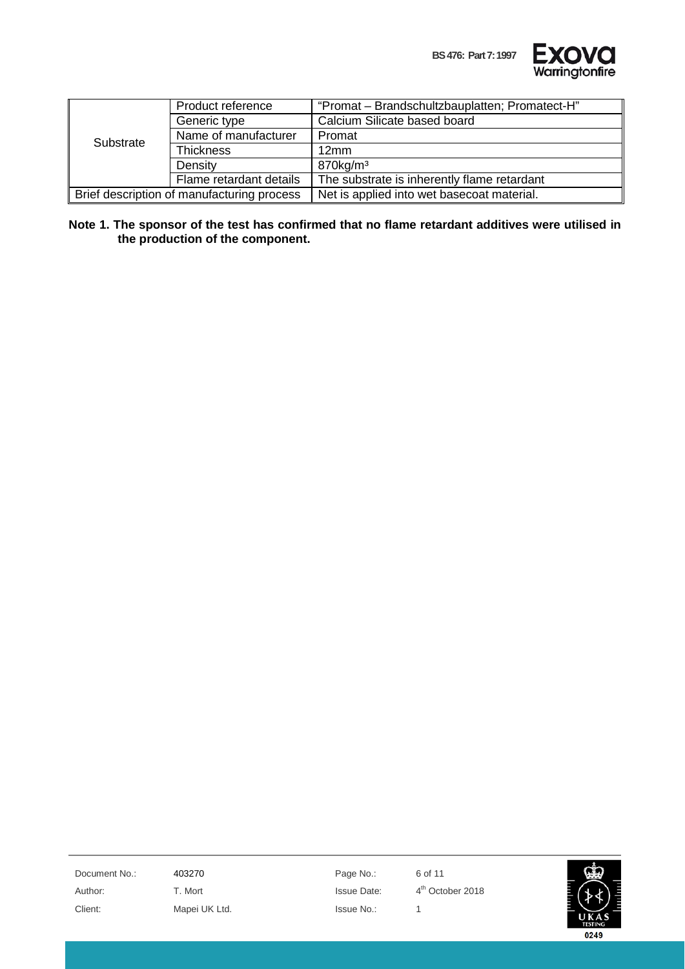

|           | Product reference                          | "Promat - Brandschultzbauplatten; Promatect-H" |
|-----------|--------------------------------------------|------------------------------------------------|
|           | Generic type                               | Calcium Silicate based board                   |
| Substrate | Name of manufacturer                       | Promat                                         |
|           | <b>Thickness</b>                           | 12mm                                           |
|           | Density                                    | 870kg/m <sup>3</sup>                           |
|           | Flame retardant details                    | The substrate is inherently flame retardant    |
|           | Brief description of manufacturing process | Net is applied into wet basecoat material.     |

**Note 1. The sponsor of the test has confirmed that no flame retardant additives were utilised in the production of the component.**

Document No.: 403270 403270 Page No.: 6 of 11 Author: T. Mort T. Mort Issue Date:  $4<sup>th</sup>$  October 2018 Client: Mapei UK Ltd. Issue No.: 1

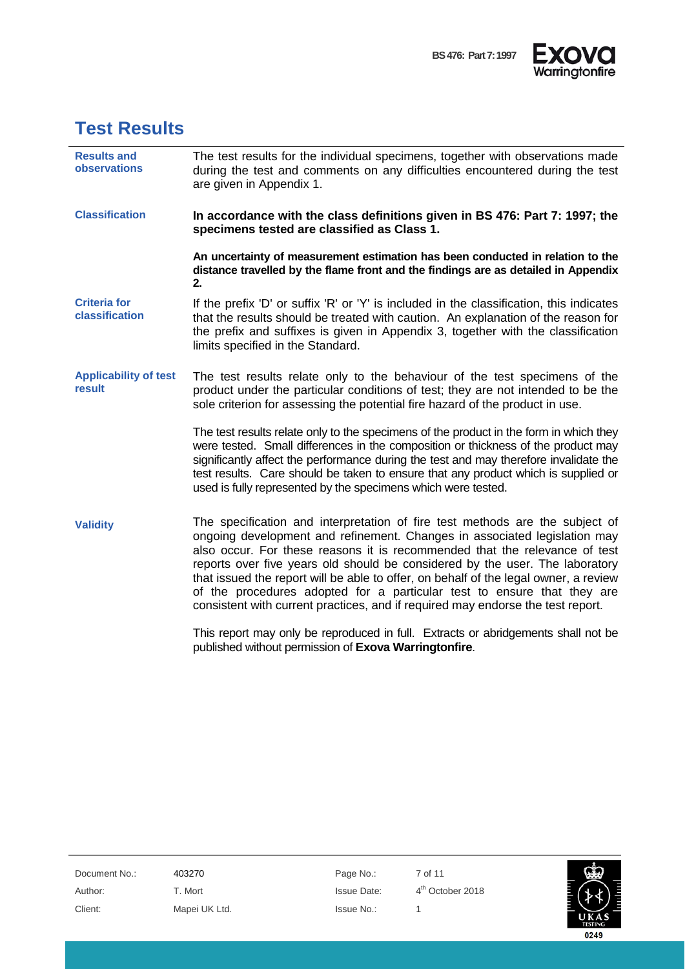



## <span id="page-6-0"></span>**Test Results**

| <b>Results and</b><br><b>observations</b> | The test results for the individual specimens, together with observations made<br>during the test and comments on any difficulties encountered during the test<br>are given in Appendix 1.                                                                                                                                                                                                                                                                                                                                                                                    |
|-------------------------------------------|-------------------------------------------------------------------------------------------------------------------------------------------------------------------------------------------------------------------------------------------------------------------------------------------------------------------------------------------------------------------------------------------------------------------------------------------------------------------------------------------------------------------------------------------------------------------------------|
| <b>Classification</b>                     | In accordance with the class definitions given in BS 476: Part 7: 1997; the<br>specimens tested are classified as Class 1.                                                                                                                                                                                                                                                                                                                                                                                                                                                    |
|                                           | An uncertainty of measurement estimation has been conducted in relation to the<br>distance travelled by the flame front and the findings are as detailed in Appendix<br>2.                                                                                                                                                                                                                                                                                                                                                                                                    |
| <b>Criteria for</b><br>classification     | If the prefix 'D' or suffix 'R' or 'Y' is included in the classification, this indicates<br>that the results should be treated with caution. An explanation of the reason for<br>the prefix and suffixes is given in Appendix 3, together with the classification<br>limits specified in the Standard.                                                                                                                                                                                                                                                                        |
| <b>Applicability of test</b><br>result    | The test results relate only to the behaviour of the test specimens of the<br>product under the particular conditions of test; they are not intended to be the<br>sole criterion for assessing the potential fire hazard of the product in use.                                                                                                                                                                                                                                                                                                                               |
|                                           | The test results relate only to the specimens of the product in the form in which they<br>were tested. Small differences in the composition or thickness of the product may<br>significantly affect the performance during the test and may therefore invalidate the<br>test results. Care should be taken to ensure that any product which is supplied or<br>used is fully represented by the specimens which were tested.                                                                                                                                                   |
| <b>Validity</b>                           | The specification and interpretation of fire test methods are the subject of<br>ongoing development and refinement. Changes in associated legislation may<br>also occur. For these reasons it is recommended that the relevance of test<br>reports over five years old should be considered by the user. The laboratory<br>that issued the report will be able to offer, on behalf of the legal owner, a review<br>of the procedures adopted for a particular test to ensure that they are<br>consistent with current practices, and if required may endorse the test report. |
|                                           | This report may only be reproduced in full. Extracts or abridgements shall not be<br>published without permission of Exova Warringtonfire.                                                                                                                                                                                                                                                                                                                                                                                                                                    |

Document No.: 403270 403270 Page No.: 7 of 11 Author: T. Mort T. Mort Issue Date: 4<sup>th</sup> October 2018 Client: Mapei UK Ltd. Issue No.: 1

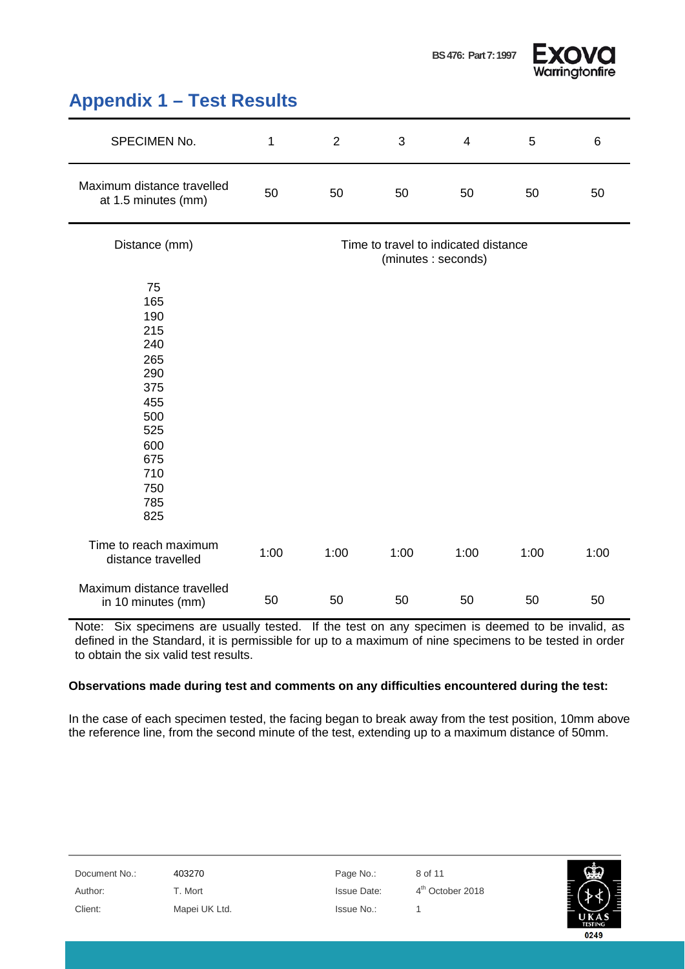

0249

#### <span id="page-7-0"></span>**Appendix 1 – Test Results**

| SPECIMEN No.                                                                                                       | 1    | $\overline{2}$ | 3    | $\overline{4}$                                             | 5    | 6    |
|--------------------------------------------------------------------------------------------------------------------|------|----------------|------|------------------------------------------------------------|------|------|
| Maximum distance travelled<br>at 1.5 minutes (mm)                                                                  | 50   | 50             | 50   | 50                                                         | 50   | 50   |
| Distance (mm)                                                                                                      |      |                |      | Time to travel to indicated distance<br>(minutes: seconds) |      |      |
| 75<br>165<br>190<br>215<br>240<br>265<br>290<br>375<br>455<br>500<br>525<br>600<br>675<br>710<br>750<br>785<br>825 |      |                |      |                                                            |      |      |
| Time to reach maximum<br>distance travelled                                                                        | 1:00 | 1:00           | 1:00 | 1:00                                                       | 1:00 | 1:00 |
| Maximum distance travelled<br>in 10 minutes (mm)                                                                   | 50   | 50             | 50   | 50                                                         | 50   | 50   |

Note: Six specimens are usually tested. If the test on any specimen is deemed to be invalid, as defined in the Standard, it is permissible for up to a maximum of nine specimens to be tested in order to obtain the six valid test results.

#### **Observations made during test and comments on any difficulties encountered during the test:**

In the case of each specimen tested, the facing began to break away from the test position, 10mm above the reference line, from the second minute of the test, extending up to a maximum distance of 50mm.

| Document No.: | 403270        | Page No.:          | 8 of 11                      | 爾                      |
|---------------|---------------|--------------------|------------------------------|------------------------|
| Author:       | T. Mort       | <b>Issue Date:</b> | 4 <sup>th</sup> October 2018 |                        |
| Client:       | Mapei UK Ltd. | Issue No.:         |                              | UKAS<br><b>TESTING</b> |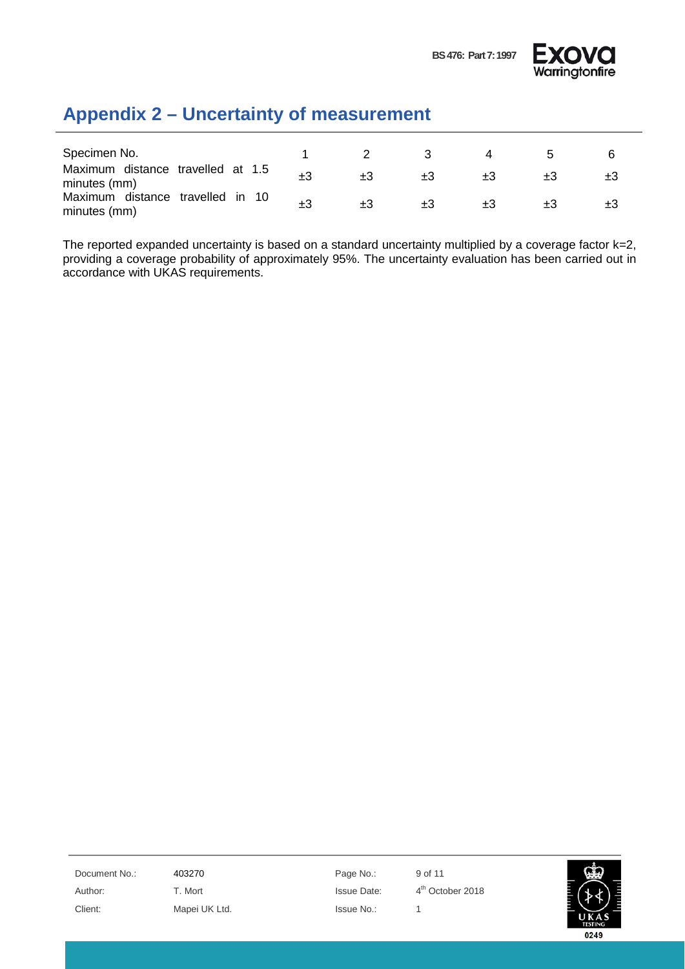

## <span id="page-8-0"></span>**Appendix 2 – Uncertainty of measurement**

| Specimen No.                                      |  |  |  |
|---------------------------------------------------|--|--|--|
| Maximum distance travelled at 1.5<br>minutes (mm) |  |  |  |
| Maximum distance travelled in 10<br>minutes (mm)  |  |  |  |

The reported expanded uncertainty is based on a standard uncertainty multiplied by a coverage factor k=2, providing a coverage probability of approximately 95%. The uncertainty evaluation has been carried out in accordance with UKAS requirements.

Document No.: 403270 Page No.: 9 of 11 Author: T. Mort **Issue Date:** 4<sup>th</sup> October 2018 Client: Mapei UK Ltd. Issue No.: 1

0249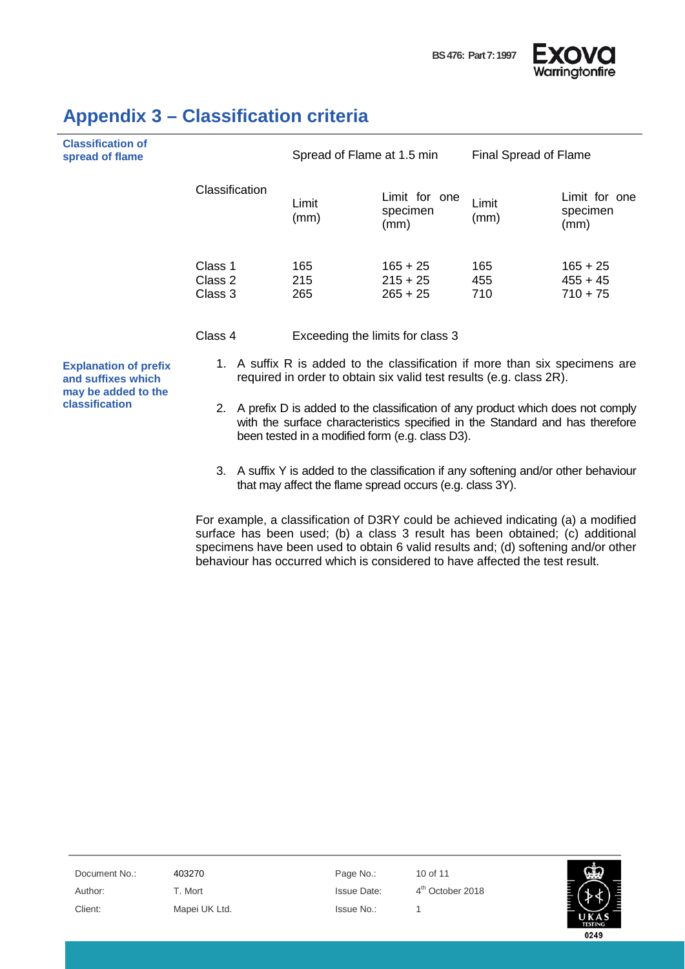



| <b>Classification of</b><br>spread of flame |                                 | Spread of Flame at 1.5 min             |                   | Final Spread of Flame                  |  |
|---------------------------------------------|---------------------------------|----------------------------------------|-------------------|----------------------------------------|--|
|                                             | Classification<br>Limit<br>(mm) | Limit for one<br>specimen<br>(mm)      | Limit<br>(mm)     | Limit for one<br>specimen<br>(mm)      |  |
| Class 1<br>Class 2<br>Class 3               | 165<br>215<br>265               | $165 + 25$<br>$215 + 25$<br>$265 + 25$ | 165<br>455<br>710 | $165 + 25$<br>$455 + 45$<br>$710 + 75$ |  |
| Class 4                                     |                                 | Exceeding the limits for class 3       |                   |                                        |  |

#### <span id="page-9-0"></span>**Appendix 3 – Classification criteria**

**Explanation of prefix and suffixes which may be added to the classification**

- 1. A suffix R is added to the classification if more than six specimens are required in order to obtain six valid test results (e.g. class 2R).
- 2. A prefix D is added to the classification of any product which does not comply with the surface characteristics specified in the Standard and has therefore been tested in a modified form (e.g. class D3).
- 3. A suffix Y is added to the classification if any softening and/or other behaviour that may affect the flame spread occurs (e.g. class 3Y).

For example, a classification of D3RY could be achieved indicating (a) a modified surface has been used; (b) a class 3 result has been obtained; (c) additional specimens have been used to obtain 6 valid results and; (d) softening and/or other behaviour has occurred which is considered to have affected the test result.

Document No.: 403270 Page No.: 10 of 11 Author: T. Mort T. Mort Issue Date: 4<sup>th</sup> October 2018 Client: Mapei UK Ltd. Issue No.: 1